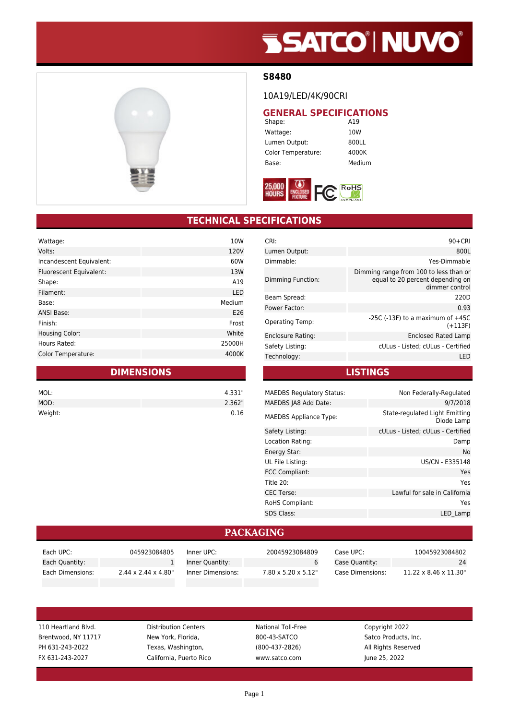# **SSATCO' NUVO'**



#### **S8480**

10A19/LED/4K/90CRI

# **GENERAL SPECIFICATIONS**<br>Shape: **A19**

Shape: Wattage: 10W Lumen Output: 800LL Color Temperature: 4000K Base: Medium



### **TECHNICAL SPECIFICATIONS**

| Wattage:                  | 10W    |
|---------------------------|--------|
| Volts:                    | 120V   |
| Incandescent Equivalent:  | 60W    |
| Fluorescent Equivalent:   | 13W    |
| Shape:                    | A19    |
| Filament:                 | LED    |
| Base:                     | Medium |
| <b>ANSI Base:</b>         | E26    |
| Finish:                   | Frost  |
| <b>Housing Color:</b>     | White  |
| Hours Rated:              | 25000H |
| <b>Color Temperature:</b> | 4000K  |
|                           |        |

### **DIMENSIONS**

| MOL:    | 4.331" |
|---------|--------|
| MOD:    | 2.362" |
| Weight: | 0.16   |

| $90+CRI$                                                                                     |
|----------------------------------------------------------------------------------------------|
| 800L                                                                                         |
| Yes-Dimmable                                                                                 |
| Dimming range from 100 to less than or<br>equal to 20 percent depending on<br>dimmer control |
| 220D                                                                                         |
| 0.93                                                                                         |
| $-25C$ ( $-13F$ ) to a maximum of $+45C$<br>$(+113F)$                                        |
| Enclosed Rated Lamp                                                                          |
| cULus - Listed; cULus - Certified                                                            |
| LED                                                                                          |
|                                                                                              |

#### **LISTINGS**

| <b>MAEDBS Regulatory Status:</b> | Non Federally-Regulated                      |
|----------------------------------|----------------------------------------------|
| MAEDBS JA8 Add Date:             | 9/7/2018                                     |
| <b>MAEDBS Appliance Type:</b>    | State-regulated Light Emitting<br>Diode Lamp |
| Safety Listing:                  | cULus - Listed; cULus - Certified            |
| Location Rating:                 | Damp                                         |
| Energy Star:                     | No                                           |
| UL File Listing:                 | US/CN - E335148                              |
| <b>FCC Compliant:</b>            | Yes                                          |
| Title 20:                        | Yes                                          |
| <b>CEC Terse:</b>                | Lawful for sale in California                |
| <b>RoHS Compliant:</b>           | Yes                                          |
| <b>SDS Class:</b>                | LED Lamp                                     |
|                                  |                                              |

#### **PACKAGING**

| Each UPC:        | 045923084805                     | Inner UPC:        | 20045923084809                   | Case UPC:        | 10045923084802                     |
|------------------|----------------------------------|-------------------|----------------------------------|------------------|------------------------------------|
| Each Quantity:   |                                  | Inner Quantity:   |                                  | Case Quantity:   | 24                                 |
| Each Dimensions: | $2.44 \times 2.44 \times 4.80$ " | Inner Dimensions: | $7.80 \times 5.20 \times 5.12$ " | Case Dimensions: | $11.22 \times 8.46 \times 11.30$ " |

110 Heartland Blvd. **Distribution Centers** National Toll-Free Copyright 2022 Brentwood, NY 11717 New York, Florida, 800-43-SATCO Satco Products, Inc. PH 631-243-2022 Texas, Washington, (800-437-2826) All Rights Reserved FX 631-243-2027 California, Puerto Rico www.satco.com June 25, 2022